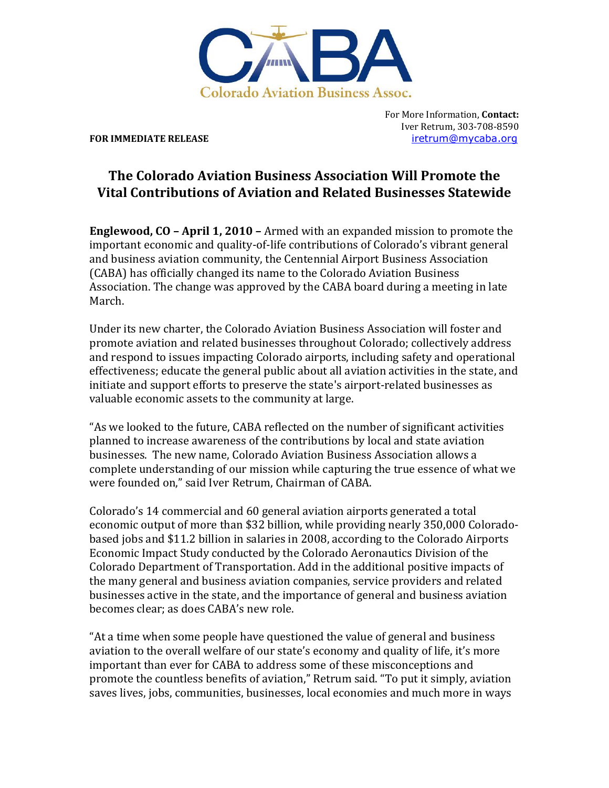

For More Information, **Contact:** Iver Retrum, 303-708-8590 **FOR IMMEDIATE RELEASE [iretrum@mycaba.org](mailto:iretrum@mycaba.org)** 

## **The Colorado Aviation Business Association Will Promote the Vital Contributions of Aviation and Related Businesses Statewide**

**Englewood, CO – April 1, 2010 –** Armed with an expanded mission to promote the important economic and quality-of-life contributions of Colorado's vibrant general and business aviation community, the Centennial Airport Business Association (CABA) has officially changed its name to the Colorado Aviation Business Association. The change was approved by the CABA board during a meeting in late March.

Under its new charter, the Colorado Aviation Business Association will foster and promote aviation and related businesses throughout Colorado; collectively address and respond to issues impacting Colorado airports, including safety and operational effectiveness; educate the general public about all aviation activities in the state, and initiate and support efforts to preserve the state's airport-related businesses as valuable economic assets to the community at large.

"As we looked to the future, CABA reflected on the number of significant activities planned to increase awareness of the contributions by local and state aviation businesses. The new name, Colorado Aviation Business Association allows a complete understanding of our mission while capturing the true essence of what we were founded on," said Iver Retrum, Chairman of CABA.

Colorado's 14 commercial and 60 general aviation airports generated a total economic output of more than \$32 billion, while providing nearly 350,000 Coloradobased jobs and \$11.2 billion in salaries in 2008, according to the Colorado Airports Economic Impact Study conducted by the Colorado Aeronautics Division of the Colorado Department of Transportation. Add in the additional positive impacts of the many general and business aviation companies, service providers and related businesses active in the state, and the importance of general and business aviation becomes clear; as does CABA's new role.

"At a time when some people have questioned the value of general and business aviation to the overall welfare of our state's economy and quality of life, it's more important than ever for CABA to address some of these misconceptions and promote the countless benefits of aviation," Retrum said. "To put it simply, aviation saves lives, jobs, communities, businesses, local economies and much more in ways